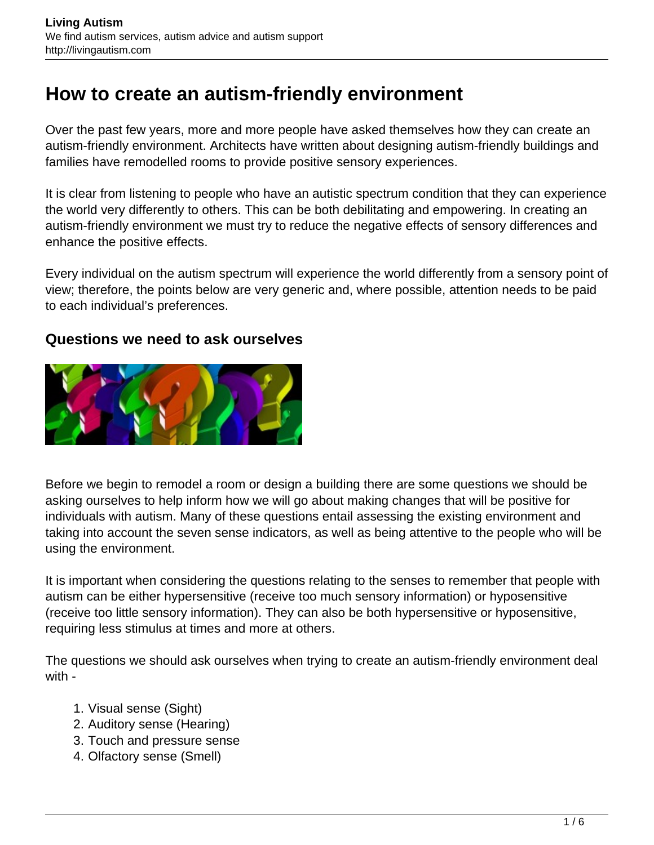# **How to create an autism-friendly environment**

Over the past few years, more and more people have asked themselves how they can create an autism-friendly environment. Architects have written about designing autism-friendly buildings and families have remodelled rooms to provide positive sensory experiences.

It is clear from listening to people who have an autistic spectrum condition that they can experience the world very differently to others. This can be both debilitating and empowering. In creating an autism-friendly environment we must try to reduce the negative effects of sensory differences and enhance the positive effects.

Every individual on the autism spectrum will experience the world differently from a sensory point of view; therefore, the points below are very generic and, where possible, attention needs to be paid to each individual's preferences.

#### **Questions we need to ask ourselves**



Before we begin to remodel a room or design a building there are some questions we should be asking ourselves to help inform how we will go about making changes that will be positive for individuals with autism. Many of these questions entail assessing the existing environment and taking into account the seven sense indicators, as well as being attentive to the people who will be using the environment.

It is important when considering the questions relating to the senses to remember that people with autism can be either hypersensitive (receive too much sensory information) or hyposensitive (receive too little sensory information). They can also be both hypersensitive or hyposensitive, requiring less stimulus at times and more at others.

The questions we should ask ourselves when trying to create an autism-friendly environment deal with -

- 1. Visual sense (Sight)
- 2. Auditory sense (Hearing)
- 3. Touch and pressure sense
- 4. Olfactory sense (Smell)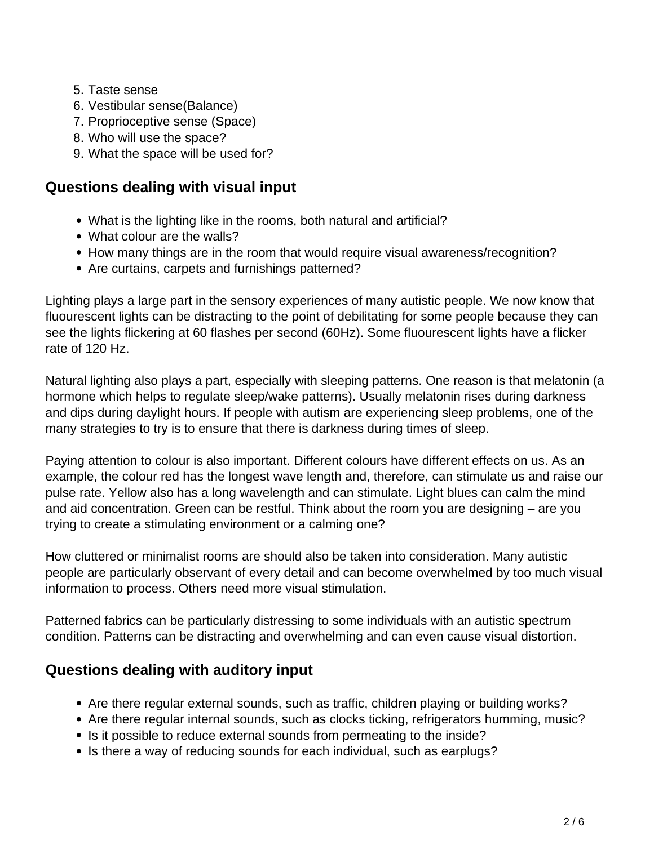- 5. Taste sense
- 6. Vestibular sense(Balance)
- 7. Proprioceptive sense (Space)
- 8. Who will use the space?
- 9. What the space will be used for?

# **Questions dealing with visual input**

- What is the lighting like in the rooms, both natural and artificial?
- What colour are the walls?
- How many things are in the room that would require visual awareness/recognition?
- Are curtains, carpets and furnishings patterned?

Lighting plays a large part in the sensory experiences of many autistic people. We now know that fluourescent lights can be distracting to the point of debilitating for some people because they can see the lights flickering at 60 flashes per second (60Hz). Some fluourescent lights have a flicker rate of 120 Hz.

Natural lighting also plays a part, especially with sleeping patterns. One reason is that melatonin (a hormone which helps to regulate sleep/wake patterns). Usually melatonin rises during darkness and dips during daylight hours. If people with autism are experiencing sleep problems, one of the many strategies to try is to ensure that there is darkness during times of sleep.

Paying attention to colour is also important. Different colours have different effects on us. As an example, the colour red has the longest wave length and, therefore, can stimulate us and raise our pulse rate. Yellow also has a long wavelength and can stimulate. Light blues can calm the mind and aid concentration. Green can be restful. Think about the room you are designing – are you trying to create a stimulating environment or a calming one?

How cluttered or minimalist rooms are should also be taken into consideration. Many autistic people are particularly observant of every detail and can become overwhelmed by too much visual information to process. Others need more visual stimulation.

Patterned fabrics can be particularly distressing to some individuals with an autistic spectrum condition. Patterns can be distracting and overwhelming and can even cause visual distortion.

# **Questions dealing with auditory input**

- Are there regular external sounds, such as traffic, children playing or building works?
- Are there regular internal sounds, such as clocks ticking, refrigerators humming, music?
- Is it possible to reduce external sounds from permeating to the inside?
- Is there a way of reducing sounds for each individual, such as earplugs?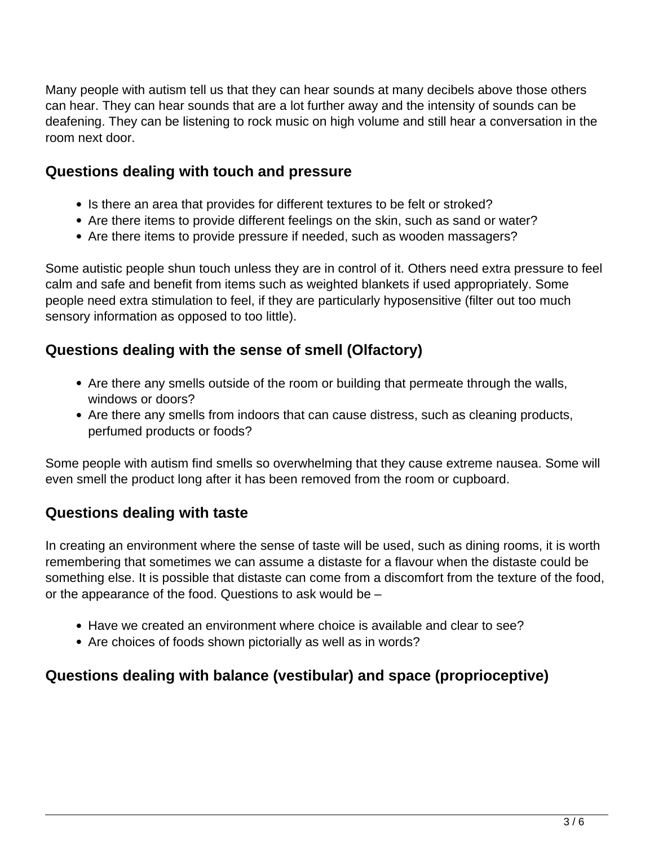Many people with autism tell us that they can hear sounds at many decibels above those others can hear. They can hear sounds that are a lot further away and the intensity of sounds can be deafening. They can be listening to rock music on high volume and still hear a conversation in the room next door.

### **Questions dealing with touch and pressure**

- Is there an area that provides for different textures to be felt or stroked?
- Are there items to provide different feelings on the skin, such as sand or water?
- Are there items to provide pressure if needed, such as wooden massagers?

Some autistic people shun touch unless they are in control of it. Others need extra pressure to feel calm and safe and benefit from items such as weighted blankets if used appropriately. Some people need extra stimulation to feel, if they are particularly hyposensitive (filter out too much sensory information as opposed to too little).

## **Questions dealing with the sense of smell (Olfactory)**

- Are there any smells outside of the room or building that permeate through the walls, windows or doors?
- Are there any smells from indoors that can cause distress, such as cleaning products, perfumed products or foods?

Some people with autism find smells so overwhelming that they cause extreme nausea. Some will even smell the product long after it has been removed from the room or cupboard.

#### **Questions dealing with taste**

In creating an environment where the sense of taste will be used, such as dining rooms, it is worth remembering that sometimes we can assume a distaste for a flavour when the distaste could be something else. It is possible that distaste can come from a discomfort from the texture of the food, or the appearance of the food. Questions to ask would be –

- Have we created an environment where choice is available and clear to see?
- Are choices of foods shown pictorially as well as in words?

# **Questions dealing with balance (vestibular) and space (proprioceptive)**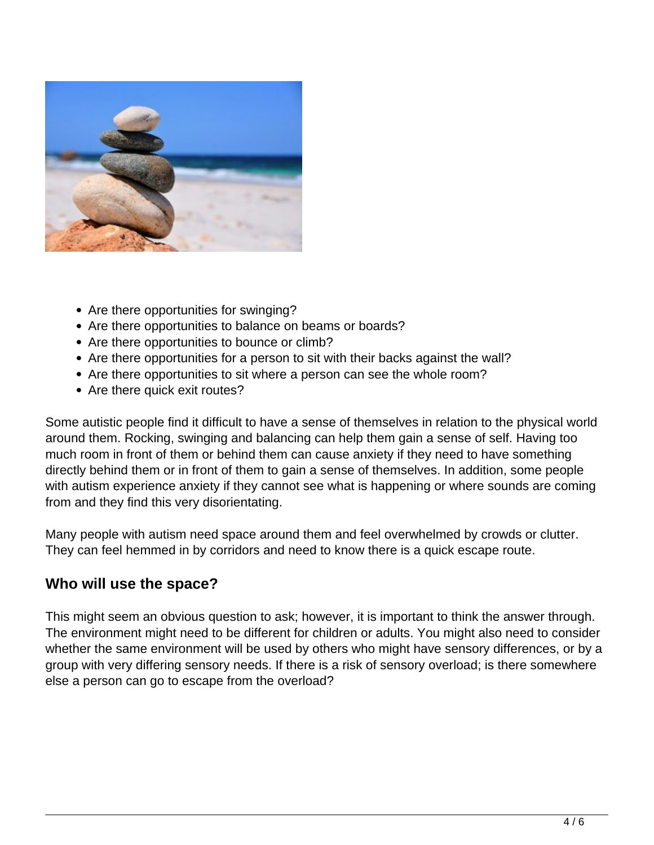

- Are there opportunities for swinging?
- Are there opportunities to balance on beams or boards?
- Are there opportunities to bounce or climb?
- Are there opportunities for a person to sit with their backs against the wall?
- Are there opportunities to sit where a person can see the whole room?
- Are there quick exit routes?

Some autistic people find it difficult to have a sense of themselves in relation to the physical world around them. Rocking, swinging and balancing can help them gain a sense of self. Having too much room in front of them or behind them can cause anxiety if they need to have something directly behind them or in front of them to gain a sense of themselves. In addition, some people with autism experience anxiety if they cannot see what is happening or where sounds are coming from and they find this very disorientating.

Many people with autism need space around them and feel overwhelmed by crowds or clutter. They can feel hemmed in by corridors and need to know there is a quick escape route.

#### **Who will use the space?**

This might seem an obvious question to ask; however, it is important to think the answer through. The environment might need to be different for children or adults. You might also need to consider whether the same environment will be used by others who might have sensory differences, or by a group with very differing sensory needs. If there is a risk of sensory overload; is there somewhere else a person can go to escape from the overload?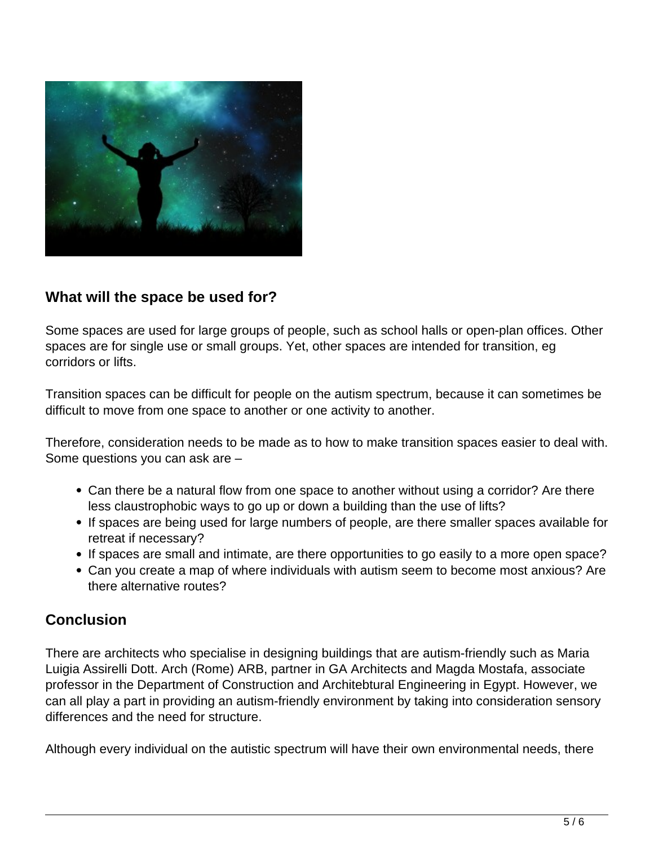

## **What will the space be used for?**

Some spaces are used for large groups of people, such as school halls or open-plan offices. Other spaces are for single use or small groups. Yet, other spaces are intended for transition, eg corridors or lifts.

Transition spaces can be difficult for people on the autism spectrum, because it can sometimes be difficult to move from one space to another or one activity to another.

Therefore, consideration needs to be made as to how to make transition spaces easier to deal with. Some questions you can ask are –

- Can there be a natural flow from one space to another without using a corridor? Are there less claustrophobic ways to go up or down a building than the use of lifts?
- If spaces are being used for large numbers of people, are there smaller spaces available for retreat if necessary?
- If spaces are small and intimate, are there opportunities to go easily to a more open space?
- Can you create a map of where individuals with autism seem to become most anxious? Are there alternative routes?

#### **Conclusion**

There are architects who specialise in designing buildings that are autism-friendly such as Maria Luigia Assirelli Dott. Arch (Rome) ARB, partner in GA Architects and Magda Mostafa, associate professor in the Department of Construction and Architebtural Engineering in Egypt. However, we can all play a part in providing an autism-friendly environment by taking into consideration sensory differences and the need for structure.

Although every individual on the autistic spectrum will have their own environmental needs, there